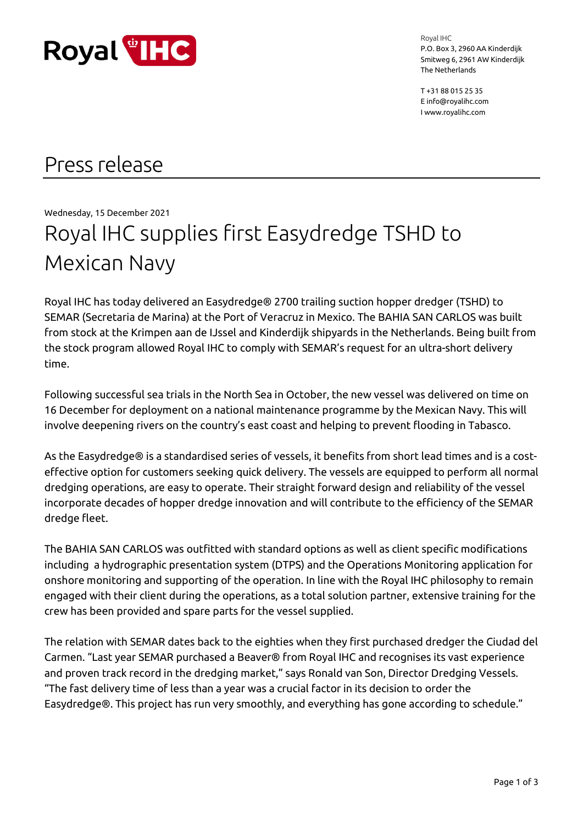

Royal IHC P.O. Box 3, 2960 AA Kinderdijk Smitweg 6, 2961 AW Kinderdijk The Netherlands

T +31 88 015 25 35 E info@royalihc.com I www.royalihc.com

## Press release

Wednesday, 15 December 2021

# Royal IHC supplies first Easydredge TSHD to Mexican Navy

Royal IHC has today delivered an Easydredge® 2700 trailing suction hopper dredger (TSHD) to SEMAR (Secretaria de Marina) at the Port of Veracruz in Mexico. The BAHIA SAN CARLOS was built from stock at the Krimpen aan de IJssel and Kinderdijk shipyards in the Netherlands. Being built from the stock program allowed Royal IHC to comply with SEMAR's request for an ultra-short delivery time.

Following successful sea trials in the North Sea in October, the new vessel was delivered on time on 16 December for deployment on a national maintenance programme by the Mexican Navy. This will involve deepening rivers on the country's east coast and helping to prevent flooding in Tabasco.

As the Easydredge® is a standardised series of vessels, it benefits from short lead times and is a costeffective option for customers seeking quick delivery. The vessels are equipped to perform all normal dredging operations, are easy to operate. Their straight forward design and reliability of the vessel incorporate decades of hopper dredge innovation and will contribute to the efficiency of the SEMAR dredge fleet.

The BAHIA SAN CARLOS was outfitted with standard options as well as client specific modifications including a hydrographic presentation system (DTPS) and the Operations Monitoring application for onshore monitoring and supporting of the operation. In line with the Royal IHC philosophy to remain engaged with their client during the operations, as a total solution partner, extensive training for the crew has been provided and spare parts for the vessel supplied.

The relation with SEMAR dates back to the eighties when they first purchased dredger the Ciudad del Carmen. "Last year SEMAR purchased a Beaver® from Royal IHC and recognises its vast experience and proven track record in the dredging market," says Ronald van Son, Director Dredging Vessels. "The fast delivery time of less than a year was a crucial factor in its decision to order the Easydredge®. This project has run very smoothly, and everything has gone according to schedule."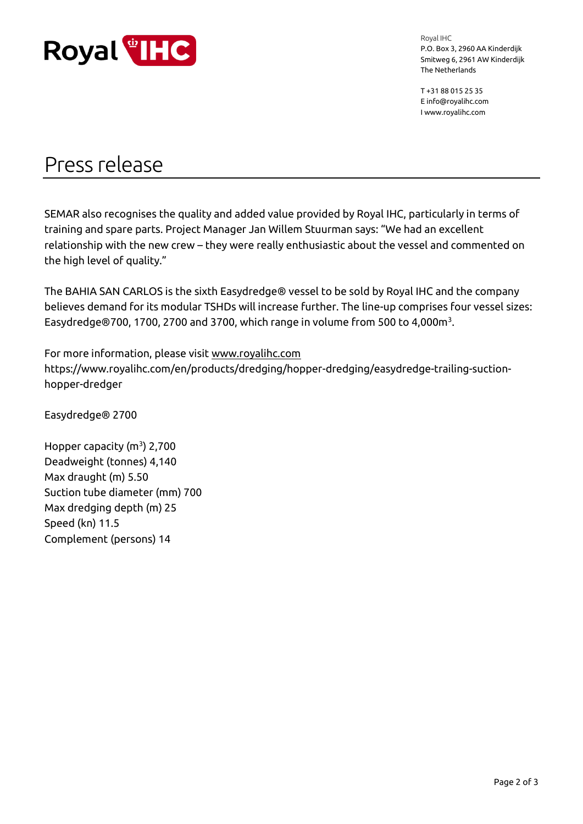

Royal IHC P.O. Box 3, 2960 AA Kinderdijk Smitweg 6, 2961 AW Kinderdijk The Netherlands

T +31 88 015 25 35 E info@royalihc.com I www.royalihc.com

### Press release

SEMAR also recognises the quality and added value provided by Royal IHC, particularly in terms of training and spare parts. Project Manager Jan Willem Stuurman says: "We had an excellent relationship with the new crew – they were really enthusiastic about the vessel and commented on the high level of quality."

The BAHIA SAN CARLOS is the sixth Easydredge® vessel to be sold by Royal IHC and the company believes demand for its modular TSHDs will increase further. The line-up comprises four vessel sizes: Easydredge $@700$ , 1700, 2700 and 3700, which range in volume from 500 to 4,000 $m<sup>3</sup>$ .

For more information, please visit [www.royalihc.com](http://www.royalihc.com/) https://www.royalihc.com/en/products/dredging/hopper-dredging/easydredge-trailing-suctionhopper-dredger

Easydredge® 2700

Hopper capacity  $(m^3)$  2,700 Deadweight (tonnes) 4,140 Max draught (m) 5.50 Suction tube diameter (mm) 700 Max dredging depth (m) 25 Speed (kn) 11.5 Complement (persons) 14